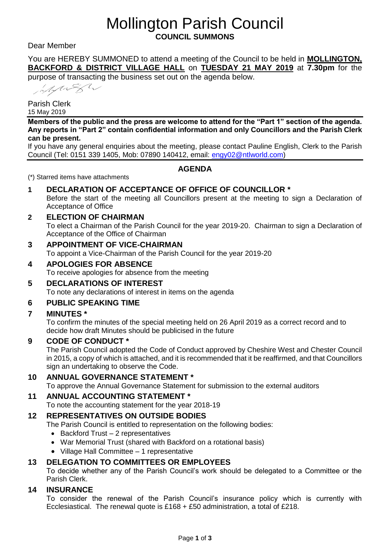# Mollington Parish Council **COUNCIL SUMMONS**

#### Dear Member

You are HEREBY SUMMONED to attend a meeting of the Council to be held in **MOLLINGTON, BACKFORD & DISTRICT VILLAGE HALL** on **TUESDAY 21 MAY 2019** at **7.30pm** for the

purpose of transacting the business set out on the agenda below.

MARSh

Parish Clerk 15 May 2019

**Members of the public and the press are welcome to attend for the "Part 1" section of the agenda. Any reports in "Part 2" contain confidential information and only Councillors and the Parish Clerk can be present.**

If you have any general enquiries about the meeting, please contact Pauline English, Clerk to the Parish Council (Tel: 0151 339 1405, Mob: 07890 140412, email: [engy02@ntlworld.com\)](mailto:engy02@ntlworld.com)

## **AGENDA**

(\*) Starred items have attachments

#### **1 DECLARATION OF ACCEPTANCE OF OFFICE OF COUNCILLOR \***

Before the start of the meeting all Councillors present at the meeting to sign a Declaration of Acceptance of Office

**2 ELECTION OF CHAIRMAN** To elect a Chairman of the Parish Council for the year 2019-20. Chairman to sign a Declaration of Acceptance of the Office of Chairman

## **3 APPOINTMENT OF VICE-CHAIRMAN**

To appoint a Vice-Chairman of the Parish Council for the year 2019-20

## **4 APOLOGIES FOR ABSENCE**

To receive apologies for absence from the meeting

#### **5 DECLARATIONS OF INTEREST** To note any declarations of interest in items on the agenda

## **6 PUBLIC SPEAKING TIME**

## **7 MINUTES \***

To confirm the minutes of the special meeting held on 26 April 2019 as a correct record and to decide how draft Minutes should be publicised in the future

## **9 CODE OF CONDUCT \***

The Parish Council adopted the Code of Conduct approved by Cheshire West and Chester Council in 2015, a copy of which is attached, and it is recommended that it be reaffirmed, and that Councillors sign an undertaking to observe the Code.

## **10 ANNUAL GOVERNANCE STATEMENT \***

To approve the Annual Governance Statement for submission to the external auditors

## **11 ANNUAL ACCOUNTING STATEMENT \***

To note the accounting statement for the year 2018-19

## **12 REPRESENTATIVES ON OUTSIDE BODIES**

The Parish Council is entitled to representation on the following bodies:

- Backford Trust 2 representatives
- War Memorial Trust (shared with Backford on a rotational basis)
- Village Hall Committee 1 representative

## **13 DELEGATION TO COMMITTEES OR EMPLOYEES**

To decide whether any of the Parish Council's work should be delegated to a Committee or the Parish Clerk.

## **14 INSURANCE**

To consider the renewal of the Parish Council's insurance policy which is currently with Ecclesiastical. The renewal quote is  $£168 + £50$  administration, a total of £218.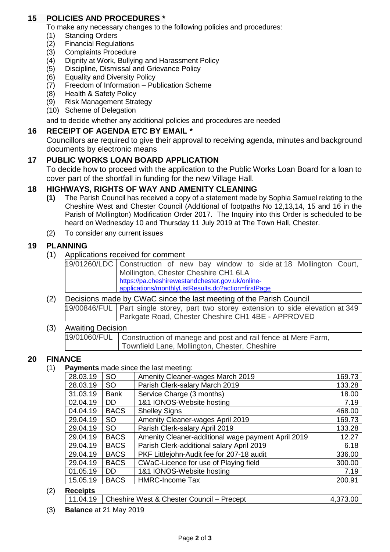## **15 POLICIES AND PROCEDURES \***

To make any necessary changes to the following policies and procedures:

- (1) Standing Orders
- (2) Financial Regulations
- (3) Complaints Procedure
- (4) Dignity at Work, Bullying and Harassment Policy
- (5) Discipline, Dismissal and Grievance Policy
- (6) Equality and Diversity Policy
- (7) Freedom of Information Publication Scheme
- (8) Health & Safety Policy
- (9) Risk Management Strategy
- (10) Scheme of Delegation

and to decide whether any additional policies and procedures are needed

## **16 RECEIPT OF AGENDA ETC BY EMAIL \***

Councillors are required to give their approval to receiving agenda, minutes and background documents by electronic means

## **17 PUBLIC WORKS LOAN BOARD APPLICATION**

To decide how to proceed with the application to the Public Works Loan Board for a loan to cover part of the shortfall in funding for the new Village Hall.

## **18 HIGHWAYS, RIGHTS OF WAY AND AMENITY CLEANING**

- **(1)** The Parish Council has received a copy of a statement made by Sophia Samuel relating to the Cheshire West and Chester Council (Additional of footpaths No 12,13,14, 15 and 16 in the Parish of Mollington) Modification Order 2017. The Inquiry into this Order is scheduled to be heard on Wednesday 10 and Thursday 11 July 2019 at The Town Hall, Chester.
- (2) To consider any current issues

## **19 PLANNING**

(1) Applications received for comment

| 19/01260/LDC Construction of new bay window to side at 18 Mollington Court, |                                                     |  |  |  |  |  |  |  |  |
|-----------------------------------------------------------------------------|-----------------------------------------------------|--|--|--|--|--|--|--|--|
|                                                                             | Mollington, Chester Cheshire CH1 6LA                |  |  |  |  |  |  |  |  |
|                                                                             | https://pa.cheshirewestandchester.gov.uk/online-    |  |  |  |  |  |  |  |  |
|                                                                             | applications/monthlyListResults.do?action=firstPage |  |  |  |  |  |  |  |  |

#### (2) Decisions made by CWaC since the last meeting of the Parish Council 19/00846/FUL Part single storey, part two storey extension to side elevation at 349 Parkgate Road, Chester Cheshire CH1 4BE - APPROVED

#### (3) Awaiting Decision 19/01060/FUL Construction of manege and post and rail fence at Mere Farm, Townfield Lane, Mollington, Chester, Cheshire

## **20 FINANCE**

(1) **Payments** made since the last meeting:

| 28.03.19 | <b>SO</b>   | Amenity Cleaner-wages March 2019                   | 169.73 |
|----------|-------------|----------------------------------------------------|--------|
| 28.03.19 | SO.         | Parish Clerk-salary March 2019                     | 133.28 |
| 31.03.19 | <b>Bank</b> | Service Charge (3 months)                          | 18.00  |
| 02.04.19 | DD.         | 1&1 IONOS-Website hosting                          | 7.19   |
| 04.04.19 | <b>BACS</b> | <b>Shelley Signs</b>                               | 468.00 |
| 29.04.19 | <b>SO</b>   | Amenity Cleaner-wages April 2019                   | 169.73 |
| 29.04.19 | SO          | Parish Clerk-salary April 2019                     | 133.28 |
| 29.04.19 | <b>BACS</b> | Amenity Cleaner-additional wage payment April 2019 | 12.27  |
| 29.04.19 | <b>BACS</b> | Parish Clerk-additional salary April 2019          | 6.18   |
| 29.04.19 | <b>BACS</b> | PKF Littlejohn-Audit fee for 207-18 audit          | 336.00 |
| 29.04.19 | <b>BACS</b> | CWaC-Licence for use of Playing field              | 300.00 |
| 01.05.19 | DD.         | 1&1 IONOS-Website hosting                          | 7.19   |
| 15.05.19 | <b>BACS</b> | <b>HMRC-Income Tax</b>                             | 200.91 |
|          |             |                                                    |        |

#### (2) **Receipts**

| 11.04.19   Cheshire West & Chester Council – Precept<br>4.373.00 |
|------------------------------------------------------------------|
|------------------------------------------------------------------|

(3) **Balance** at 21 May 2019